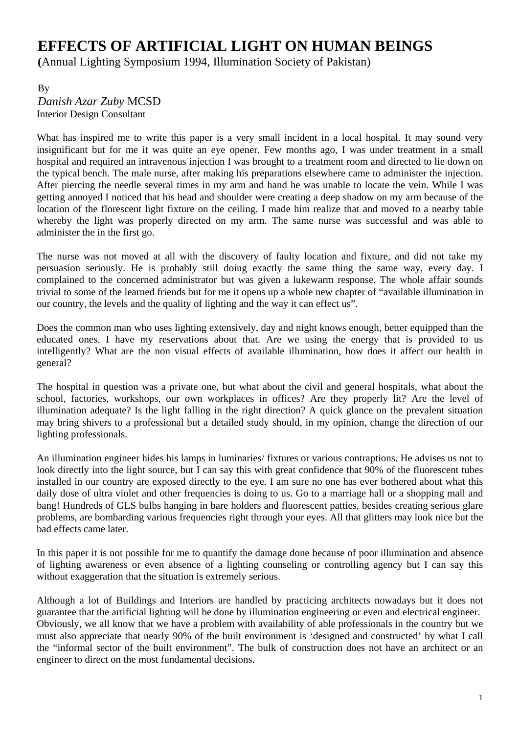## 3B**EFFECTS OF ARTIFICIAL LIGHT ON HUMAN BEINGS**

0B**(**Annual Lighting Symposium 1994, Illumination Society of Pakistan)

1By 2B*Danish Azar Zuby* MCSD Interior Design Consultant

What has inspired me to write this paper is a very small incident in a local hospital. It may sound very insignificant but for me it was quite an eye opener. Few months ago, I was under treatment in a small hospital and required an intravenous injection I was brought to a treatment room and directed to lie down on the typical bench. The male nurse, after making his preparations elsewhere came to administer the injection. After piercing the needle several times in my arm and hand he was unable to locate the vein. While I was getting annoyed I noticed that his head and shoulder were creating a deep shadow on my arm because of the location of the florescent light fixture on the ceiling. I made him realize that and moved to a nearby table whereby the light was properly directed on my arm. The same nurse was successful and was able to administer the in the first go.

The nurse was not moved at all with the discovery of faulty location and fixture, and did not take my persuasion seriously. He is probably still doing exactly the same thing the same way, every day. I complained to the concerned administrator but was given a lukewarm response. The whole affair sounds trivial to some of the learned friends but for me it opens up a whole new chapter of "available illumination in our country, the levels and the quality of lighting and the way it can effect us".

Does the common man who uses lighting extensively, day and night knows enough, better equipped than the educated ones. I have my reservations about that. Are we using the energy that is provided to us intelligently? What are the non visual effects of available illumination, how does it affect our health in general?

The hospital in question was a private one, but what about the civil and general hospitals, what about the school, factories, workshops, our own workplaces in offices? Are they properly lit? Are the level of illumination adequate? Is the light falling in the right direction? A quick glance on the prevalent situation may bring shivers to a professional but a detailed study should, in my opinion, change the direction of our lighting professionals.

An illumination engineer hides his lamps in luminaries/ fixtures or various contraptions. He advises us not to look directly into the light source, but I can say this with great confidence that 90% of the fluorescent tubes installed in our country are exposed directly to the eye. I am sure no one has ever bothered about what this daily dose of ultra violet and other frequencies is doing to us. Go to a marriage hall or a shopping mall and bang! Hundreds of GLS bulbs hanging in bare holders and fluorescent patties, besides creating serious glare problems, are bombarding various frequencies right through your eyes. All that glitters may look nice but the bad effects came later.

In this paper it is not possible for me to quantify the damage done because of poor illumination and absence of lighting awareness or even absence of a lighting counseling or controlling agency but I can say this without exaggeration that the situation is extremely serious.

Although a lot of Buildings and Interiors are handled by practicing architects nowadays but it does not guarantee that the artificial lighting will be done by illumination engineering or even and electrical engineer. Obviously, we all know that we have a problem with availability of able professionals in the country but we must also appreciate that nearly 90% of the built environment is 'designed and constructed' by what I call the "informal sector of the built environment". The bulk of construction does not have an architect or an engineer to direct on the most fundamental decisions.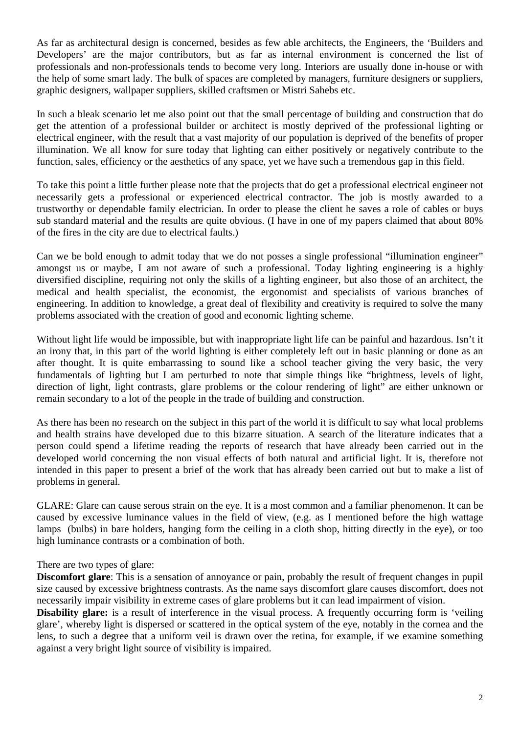As far as architectural design is concerned, besides as few able architects, the Engineers, the 'Builders and Developers' are the major contributors, but as far as internal environment is concerned the list of professionals and non-professionals tends to become very long. Interiors are usually done in-house or with the help of some smart lady. The bulk of spaces are completed by managers, furniture designers or suppliers, graphic designers, wallpaper suppliers, skilled craftsmen or Mistri Sahebs etc.

In such a bleak scenario let me also point out that the small percentage of building and construction that do get the attention of a professional builder or architect is mostly deprived of the professional lighting or electrical engineer, with the result that a vast majority of our population is deprived of the benefits of proper illumination. We all know for sure today that lighting can either positively or negatively contribute to the function, sales, efficiency or the aesthetics of any space, yet we have such a tremendous gap in this field.

To take this point a little further please note that the projects that do get a professional electrical engineer not necessarily gets a professional or experienced electrical contractor. The job is mostly awarded to a trustworthy or dependable family electrician. In order to please the client he saves a role of cables or buys sub standard material and the results are quite obvious. (I have in one of my papers claimed that about 80% of the fires in the city are due to electrical faults.)

Can we be bold enough to admit today that we do not posses a single professional "illumination engineer" amongst us or maybe, I am not aware of such a professional. Today lighting engineering is a highly diversified discipline, requiring not only the skills of a lighting engineer, but also those of an architect, the medical and health specialist, the economist, the ergonomist and specialists of various branches of engineering. In addition to knowledge, a great deal of flexibility and creativity is required to solve the many problems associated with the creation of good and economic lighting scheme.

Without light life would be impossible, but with inappropriate light life can be painful and hazardous. Isn't it an irony that, in this part of the world lighting is either completely left out in basic planning or done as an after thought. It is quite embarrassing to sound like a school teacher giving the very basic, the very fundamentals of lighting but I am perturbed to note that simple things like "brightness, levels of light, direction of light, light contrasts, glare problems or the colour rendering of light" are either unknown or remain secondary to a lot of the people in the trade of building and construction.

As there has been no research on the subject in this part of the world it is difficult to say what local problems and health strains have developed due to this bizarre situation. A search of the literature indicates that a person could spend a lifetime reading the reports of research that have already been carried out in the developed world concerning the non visual effects of both natural and artificial light. It is, therefore not intended in this paper to present a brief of the work that has already been carried out but to make a list of problems in general.

GLARE: Glare can cause serous strain on the eye. It is a most common and a familiar phenomenon. It can be caused by excessive luminance values in the field of view, (e.g. as I mentioned before the high wattage lamps (bulbs) in bare holders, hanging form the ceiling in a cloth shop, hitting directly in the eye), or too high luminance contrasts or a combination of both.

There are two types of glare:

**Discomfort glare**: This is a sensation of annoyance or pain, probably the result of frequent changes in pupil size caused by excessive brightness contrasts. As the name says discomfort glare causes discomfort, does not necessarily impair visibility in extreme cases of glare problems but it can lead impairment of vision.

**Disability glare:** is a result of interference in the visual process. A frequently occurring form is 'veiling glare', whereby light is dispersed or scattered in the optical system of the eye, notably in the cornea and the lens, to such a degree that a uniform veil is drawn over the retina, for example, if we examine something against a very bright light source of visibility is impaired.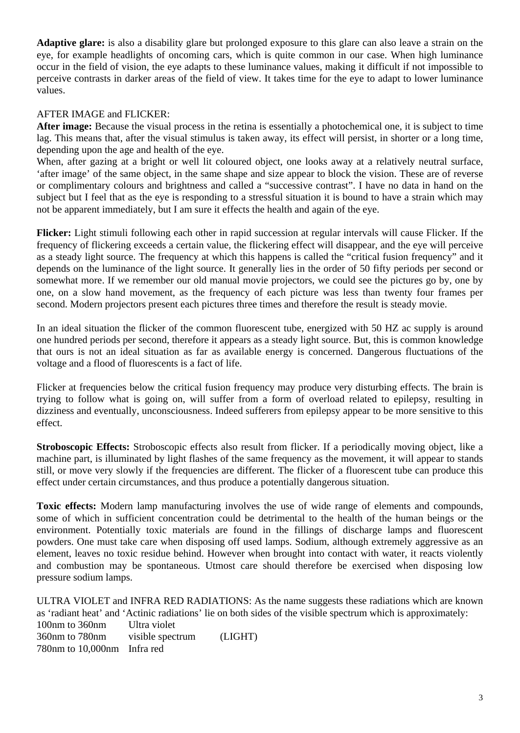**Adaptive glare:** is also a disability glare but prolonged exposure to this glare can also leave a strain on the eye, for example headlights of oncoming cars, which is quite common in our case. When high luminance occur in the field of vision, the eye adapts to these luminance values, making it difficult if not impossible to perceive contrasts in darker areas of the field of view. It takes time for the eye to adapt to lower luminance values.

## AFTER IMAGE and FLICKER:

**After image:** Because the visual process in the retina is essentially a photochemical one, it is subject to time lag. This means that, after the visual stimulus is taken away, its effect will persist, in shorter or a long time, depending upon the age and health of the eye.

When, after gazing at a bright or well lit coloured object, one looks away at a relatively neutral surface, 'after image' of the same object, in the same shape and size appear to block the vision. These are of reverse or complimentary colours and brightness and called a "successive contrast". I have no data in hand on the subject but I feel that as the eye is responding to a stressful situation it is bound to have a strain which may not be apparent immediately, but I am sure it effects the health and again of the eye.

**Flicker:** Light stimuli following each other in rapid succession at regular intervals will cause Flicker. If the frequency of flickering exceeds a certain value, the flickering effect will disappear, and the eye will perceive as a steady light source. The frequency at which this happens is called the "critical fusion frequency" and it depends on the luminance of the light source. It generally lies in the order of 50 fifty periods per second or somewhat more. If we remember our old manual movie projectors, we could see the pictures go by, one by one, on a slow hand movement, as the frequency of each picture was less than twenty four frames per second. Modern projectors present each pictures three times and therefore the result is steady movie.

In an ideal situation the flicker of the common fluorescent tube, energized with 50 HZ ac supply is around one hundred periods per second, therefore it appears as a steady light source. But, this is common knowledge that ours is not an ideal situation as far as available energy is concerned. Dangerous fluctuations of the voltage and a flood of fluorescents is a fact of life.

Flicker at frequencies below the critical fusion frequency may produce very disturbing effects. The brain is trying to follow what is going on, will suffer from a form of overload related to epilepsy, resulting in dizziness and eventually, unconsciousness. Indeed sufferers from epilepsy appear to be more sensitive to this effect.

**Stroboscopic Effects:** Stroboscopic effects also result from flicker. If a periodically moving object, like a machine part, is illuminated by light flashes of the same frequency as the movement, it will appear to stands still, or move very slowly if the frequencies are different. The flicker of a fluorescent tube can produce this effect under certain circumstances, and thus produce a potentially dangerous situation.

**Toxic effects:** Modern lamp manufacturing involves the use of wide range of elements and compounds, some of which in sufficient concentration could be detrimental to the health of the human beings or the environment. Potentially toxic materials are found in the fillings of discharge lamps and fluorescent powders. One must take care when disposing off used lamps. Sodium, although extremely aggressive as an element, leaves no toxic residue behind. However when brought into contact with water, it reacts violently and combustion may be spontaneous. Utmost care should therefore be exercised when disposing low pressure sodium lamps.

ULTRA VIOLET and INFRA RED RADIATIONS: As the name suggests these radiations which are known as 'radiant heat' and 'Actinic radiations' lie on both sides of the visible spectrum which is approximately: 100nm to 360nm Ultra violet 360nm to 780nm visible spectrum (LIGHT) 780nm to 10,000nm Infra red